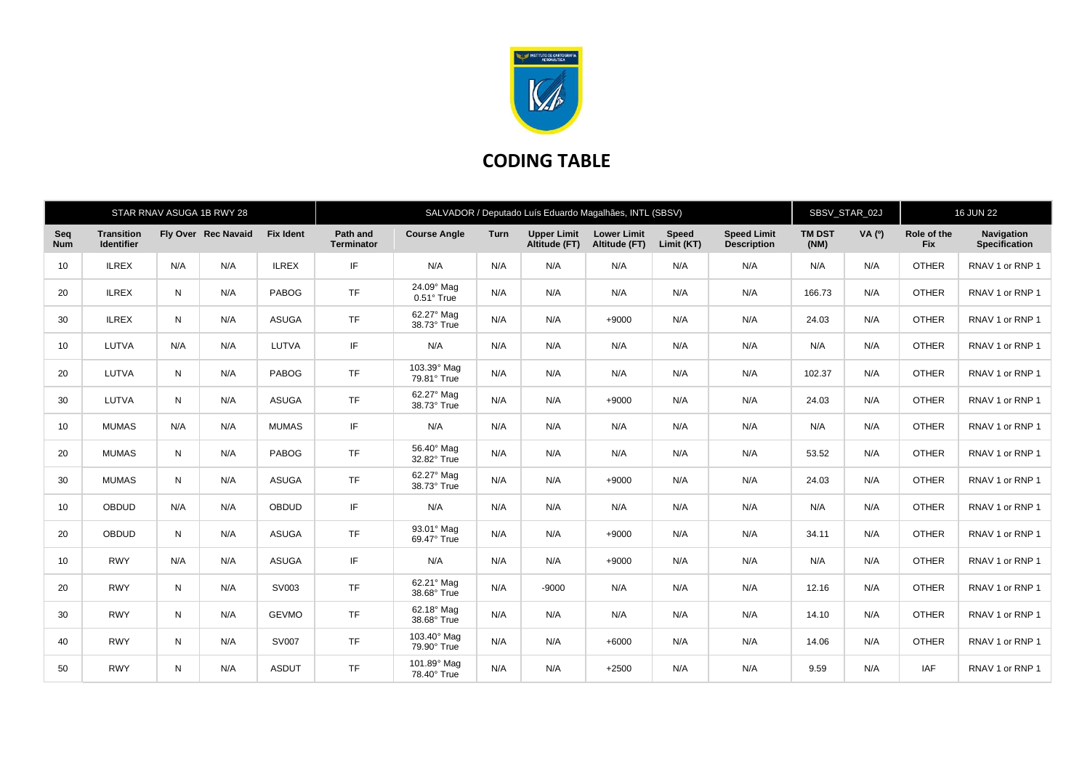

## **CODING TABLE**

|                   |                                        |           | STAR RNAV ASUGA 1B RWY 28 |                  | SALVADOR / Deputado Luís Eduardo Magalhães, INTL (SBSV) |                                 |             |                                     |                                     |                            |                                          |                       | SBSV_STAR_02J |                           | <b>16 JUN 22</b>            |  |
|-------------------|----------------------------------------|-----------|---------------------------|------------------|---------------------------------------------------------|---------------------------------|-------------|-------------------------------------|-------------------------------------|----------------------------|------------------------------------------|-----------------------|---------------|---------------------------|-----------------------------|--|
| Seq<br><b>Num</b> | <b>Transition</b><br><b>Identifier</b> |           | Fly Over Rec Navaid       | <b>Fix Ident</b> | Path and<br><b>Terminator</b>                           | <b>Course Angle</b>             | <b>Turn</b> | <b>Upper Limit</b><br>Altitude (FT) | <b>Lower Limit</b><br>Altitude (FT) | <b>Speed</b><br>Limit (KT) | <b>Speed Limit</b><br><b>Description</b> | <b>TM DST</b><br>(NM) | VA (0)        | Role of the<br><b>Fix</b> | Navigation<br>Specification |  |
| 10                | <b>ILREX</b>                           | N/A       | N/A                       | <b>ILREX</b>     | IF                                                      | N/A                             | N/A         | N/A                                 | N/A                                 | N/A                        | N/A                                      | N/A                   | N/A           | <b>OTHER</b>              | RNAV 1 or RNP 1             |  |
| 20                | <b>ILREX</b>                           | N         | N/A                       | PABOG            | <b>TF</b>                                               | 24.09° Mag<br>$0.51^\circ$ True | N/A         | N/A                                 | N/A                                 | N/A                        | N/A                                      | 166.73                | N/A           | <b>OTHER</b>              | RNAV 1 or RNP 1             |  |
| 30                | <b>ILREX</b>                           | N         | N/A                       | <b>ASUGA</b>     | <b>TF</b>                                               | 62.27° Mag<br>38.73° True       | N/A         | N/A                                 | $+9000$                             | N/A                        | N/A                                      | 24.03                 | N/A           | <b>OTHER</b>              | RNAV 1 or RNP 1             |  |
| 10                | LUTVA                                  | N/A       | N/A                       | LUTVA            | IF                                                      | N/A                             | N/A         | N/A                                 | N/A                                 | N/A                        | N/A                                      | N/A                   | N/A           | <b>OTHER</b>              | RNAV 1 or RNP 1             |  |
| 20                | LUTVA                                  | N         | N/A                       | PABOG            | <b>TF</b>                                               | 103.39° Mag<br>79.81° True      | N/A         | N/A                                 | N/A                                 | N/A                        | N/A                                      | 102.37                | N/A           | <b>OTHER</b>              | RNAV 1 or RNP 1             |  |
| 30                | LUTVA                                  | N         | N/A                       | <b>ASUGA</b>     | <b>TF</b>                                               | 62.27° Mag<br>38.73° True       | N/A         | N/A                                 | $+9000$                             | N/A                        | N/A                                      | 24.03                 | N/A           | <b>OTHER</b>              | RNAV 1 or RNP 1             |  |
| 10                | <b>MUMAS</b>                           | N/A       | N/A                       | <b>MUMAS</b>     | IF.                                                     | N/A                             | N/A         | N/A                                 | N/A                                 | N/A                        | N/A                                      | N/A                   | N/A           | <b>OTHER</b>              | RNAV 1 or RNP 1             |  |
| 20                | <b>MUMAS</b>                           | N         | N/A                       | <b>PABOG</b>     | <b>TF</b>                                               | 56.40° Mag<br>32.82° True       | N/A         | N/A                                 | N/A                                 | N/A                        | N/A                                      | 53.52                 | N/A           | <b>OTHER</b>              | RNAV 1 or RNP 1             |  |
| 30                | <b>MUMAS</b>                           | N         | N/A                       | <b>ASUGA</b>     | <b>TF</b>                                               | 62.27° Mag<br>38.73° True       | N/A         | N/A                                 | $+9000$                             | N/A                        | N/A                                      | 24.03                 | N/A           | <b>OTHER</b>              | RNAV 1 or RNP 1             |  |
| 10                | <b>OBDUD</b>                           | N/A       | N/A                       | <b>OBDUD</b>     | IF.                                                     | N/A                             | N/A         | N/A                                 | N/A                                 | N/A                        | N/A                                      | N/A                   | N/A           | <b>OTHER</b>              | RNAV 1 or RNP 1             |  |
| 20                | <b>OBDUD</b>                           | N         | N/A                       | <b>ASUGA</b>     | <b>TF</b>                                               | 93.01° Mag<br>69.47° True       | N/A         | N/A                                 | $+9000$                             | N/A                        | N/A                                      | 34.11                 | N/A           | <b>OTHER</b>              | RNAV 1 or RNP 1             |  |
| 10                | <b>RWY</b>                             | N/A       | N/A                       | <b>ASUGA</b>     | IF.                                                     | N/A                             | N/A         | N/A                                 | $+9000$                             | N/A                        | N/A                                      | N/A                   | N/A           | <b>OTHER</b>              | RNAV 1 or RNP 1             |  |
| 20                | <b>RWY</b>                             | ${\sf N}$ | N/A                       | SV003            | <b>TF</b>                                               | 62.21° Mag<br>38.68° True       | N/A         | $-9000$                             | N/A                                 | N/A                        | N/A                                      | 12.16                 | N/A           | <b>OTHER</b>              | RNAV 1 or RNP 1             |  |
| 30                | <b>RWY</b>                             | N         | N/A                       | <b>GEVMO</b>     | <b>TF</b>                                               | 62.18° Mag<br>38.68° True       | N/A         | N/A                                 | N/A                                 | N/A                        | N/A                                      | 14.10                 | N/A           | <b>OTHER</b>              | RNAV 1 or RNP 1             |  |
| 40                | <b>RWY</b>                             | N         | N/A                       | <b>SV007</b>     | <b>TF</b>                                               | 103.40° Mag<br>79.90° True      | N/A         | N/A                                 | $+6000$                             | N/A                        | N/A                                      | 14.06                 | N/A           | <b>OTHER</b>              | RNAV 1 or RNP 1             |  |
| 50                | <b>RWY</b>                             | N         | N/A                       | <b>ASDUT</b>     | <b>TF</b>                                               | 101.89° Mag<br>78.40° True      | N/A         | N/A                                 | $+2500$                             | N/A                        | N/A                                      | 9.59                  | N/A           | <b>IAF</b>                | RNAV 1 or RNP 1             |  |